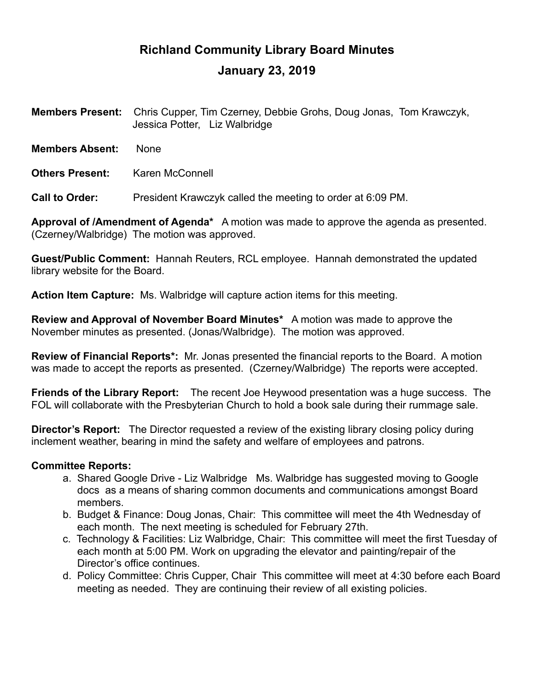# **Richland Community Library Board Minutes**

# **January 23, 2019**

**Members Present:** Chris Cupper, Tim Czerney, Debbie Grohs, Doug Jonas, Tom Krawczyk, Jessica Potter, Liz Walbridge

**Members Absent:** None

## **Others Present:** Karen McConnell

**Call to Order:** President Krawczyk called the meeting to order at 6:09 PM.

**Approval of /Amendment of Agenda\*** A motion was made to approve the agenda as presented. (Czerney/Walbridge) The motion was approved.

**Guest/Public Comment:** Hannah Reuters, RCL employee. Hannah demonstrated the updated library website for the Board.

**Action Item Capture:** Ms. Walbridge will capture action items for this meeting.

**Review and Approval of November Board Minutes\*** A motion was made to approve the November minutes as presented. (Jonas/Walbridge). The motion was approved.

**Review of Financial Reports\*:** Mr. Jonas presented the financial reports to the Board. A motion was made to accept the reports as presented. (Czerney/Walbridge) The reports were accepted.

**Friends of the Library Report:** The recent Joe Heywood presentation was a huge success. The FOL will collaborate with the Presbyterian Church to hold a book sale during their rummage sale.

**Director's Report:** The Director requested a review of the existing library closing policy during inclement weather, bearing in mind the safety and welfare of employees and patrons.

#### **Committee Reports:**

- a. Shared Google Drive Liz Walbridge Ms. Walbridge has suggested moving to Google docs as a means of sharing common documents and communications amongst Board members.
- b. Budget & Finance: Doug Jonas, Chair: This committee will meet the 4th Wednesday of each month. The next meeting is scheduled for February 27th.
- c. Technology & Facilities: Liz Walbridge, Chair: This committee will meet the first Tuesday of each month at 5:00 PM. Work on upgrading the elevator and painting/repair of the Director's office continues.
- d. Policy Committee: Chris Cupper, Chair This committee will meet at 4:30 before each Board meeting as needed. They are continuing their review of all existing policies.